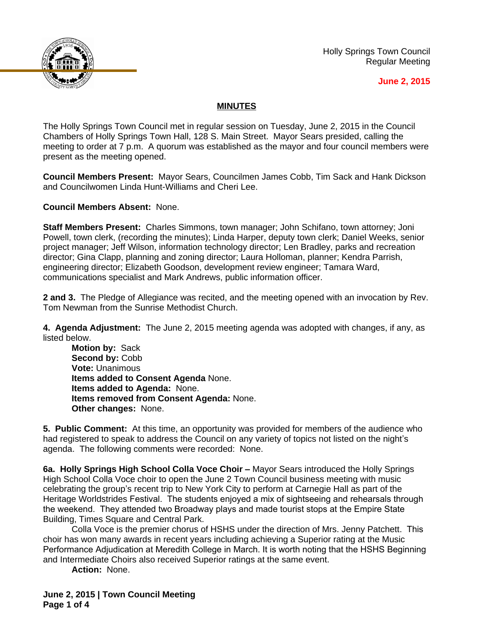

Holly Springs Town Council Regular Meeting

## **June 2, 2015**

## **MINUTES**

The Holly Springs Town Council met in regular session on Tuesday, June 2, 2015 in the Council Chambers of Holly Springs Town Hall, 128 S. Main Street. Mayor Sears presided, calling the meeting to order at 7 p.m. A quorum was established as the mayor and four council members were present as the meeting opened.

**Council Members Present:** Mayor Sears, Councilmen James Cobb, Tim Sack and Hank Dickson and Councilwomen Linda Hunt-Williams and Cheri Lee.

**Council Members Absent:** None.

**Staff Members Present:** Charles Simmons, town manager; John Schifano, town attorney; Joni Powell, town clerk, (recording the minutes); Linda Harper, deputy town clerk; Daniel Weeks, senior project manager; Jeff Wilson, information technology director; Len Bradley, parks and recreation director; Gina Clapp, planning and zoning director; Laura Holloman, planner; Kendra Parrish, engineering director; Elizabeth Goodson, development review engineer; Tamara Ward, communications specialist and Mark Andrews, public information officer.

**2 and 3.** The Pledge of Allegiance was recited, and the meeting opened with an invocation by Rev. Tom Newman from the Sunrise Methodist Church.

**4. Agenda Adjustment:** The June 2, 2015 meeting agenda was adopted with changes, if any, as listed below.

**Motion by:** Sack **Second by:** Cobb **Vote:** Unanimous **Items added to Consent Agenda** None. **Items added to Agenda:** None. **Items removed from Consent Agenda:** None. **Other changes:** None.

**5. Public Comment:** At this time, an opportunity was provided for members of the audience who had registered to speak to address the Council on any variety of topics not listed on the night's agenda. The following comments were recorded: None.

**6a. Holly Springs High School Colla Voce Choir –** Mayor Sears introduced the Holly Springs High School Colla Voce choir to open the June 2 Town Council business meeting with music celebrating the group's recent trip to New York City to perform at Carnegie Hall as part of the Heritage Worldstrides Festival. The students enjoyed a mix of sightseeing and rehearsals through the weekend. They attended two Broadway plays and made tourist stops at the Empire State Building, Times Square and Central Park.

Colla Voce is the premier chorus of HSHS under the direction of Mrs. Jenny Patchett. This choir has won many awards in recent years including achieving a Superior rating at the Music Performance Adjudication at Meredith College in March. It is worth noting that the HSHS Beginning and Intermediate Choirs also received Superior ratings at the same event.

**Action:** None.

**June 2, 2015 | Town Council Meeting Page 1 of 4**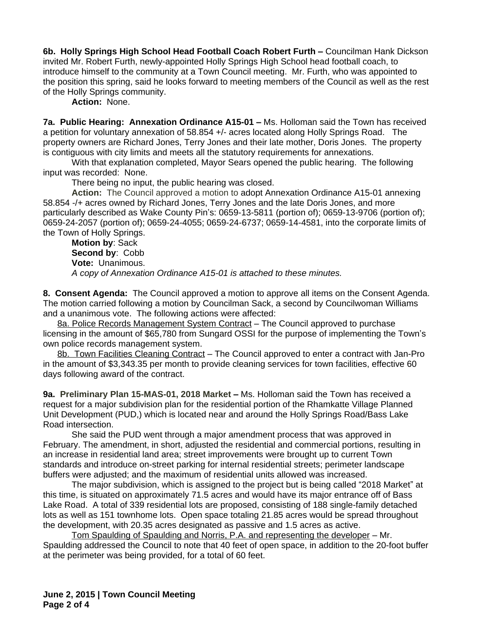**6b. Holly Springs High School Head Football Coach Robert Furth –** Councilman Hank Dickson invited Mr. Robert Furth, newly-appointed Holly Springs High School head football coach, to introduce himself to the community at a Town Council meeting. Mr. Furth, who was appointed to the position this spring, said he looks forward to meeting members of the Council as well as the rest of the Holly Springs community.

**Action:** None.

**7a. Public Hearing: Annexation Ordinance A15-01 – Ms. Holloman said the Town has received** a petition for voluntary annexation of 58.854 +/- acres located along Holly Springs Road. The property owners are Richard Jones, Terry Jones and their late mother, Doris Jones. The property is contiguous with city limits and meets all the statutory requirements for annexations.

With that explanation completed, Mayor Sears opened the public hearing. The following input was recorded: None.

There being no input, the public hearing was closed.

**Action:** The Council approved a motion to adopt Annexation Ordinance A15-01 annexing 58.854 -/+ acres owned by Richard Jones, Terry Jones and the late Doris Jones, and more particularly described as Wake County Pin's: 0659-13-5811 (portion of); 0659-13-9706 (portion of); 0659-24-2057 (portion of); 0659-24-4055; 0659-24-6737; 0659-14-4581, into the corporate limits of the Town of Holly Springs.

**Motion by**: Sack **Second by**: Cobb **Vote:** Unanimous. *A copy of Annexation Ordinance A15-01 is attached to these minutes.*

**8. Consent Agenda:** The Council approved a motion to approve all items on the Consent Agenda. The motion carried following a motion by Councilman Sack, a second by Councilwoman Williams and a unanimous vote. The following actions were affected:

8a. Police Records Management System Contract - The Council approved to purchase licensing in the amount of \$65,780 from Sungard OSSI for the purpose of implementing the Town's own police records management system.

8b. Town Facilities Cleaning Contract – The Council approved to enter a contract with Jan-Pro in the amount of \$3,343.35 per month to provide cleaning services for town facilities, effective 60 days following award of the contract.

**9a. Preliminary Plan 15-MAS-01, 2018 Market –** Ms. Holloman said the Town has received a request for a major subdivision plan for the residential portion of the Rhamkatte Village Planned Unit Development (PUD,) which is located near and around the Holly Springs Road/Bass Lake Road intersection.

She said the PUD went through a major amendment process that was approved in February. The amendment, in short, adjusted the residential and commercial portions, resulting in an increase in residential land area; street improvements were brought up to current Town standards and introduce on-street parking for internal residential streets; perimeter landscape buffers were adjusted; and the maximum of residential units allowed was increased.

The major subdivision, which is assigned to the project but is being called "2018 Market" at this time, is situated on approximately 71.5 acres and would have its major entrance off of Bass Lake Road. A total of 339 residential lots are proposed, consisting of 188 single-family detached lots as well as 151 townhome lots. Open space totaling 21.85 acres would be spread throughout the development, with 20.35 acres designated as passive and 1.5 acres as active.

Tom Spaulding of Spaulding and Norris, P.A. and representing the developer – Mr. Spaulding addressed the Council to note that 40 feet of open space, in addition to the 20-foot buffer at the perimeter was being provided, for a total of 60 feet.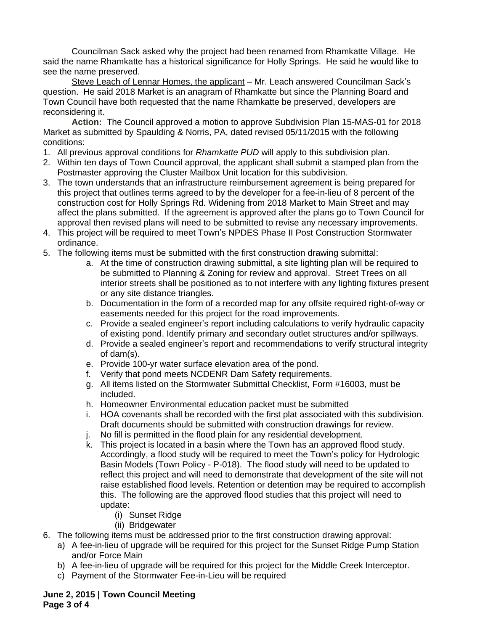Councilman Sack asked why the project had been renamed from Rhamkatte Village. He said the name Rhamkatte has a historical significance for Holly Springs. He said he would like to see the name preserved.

Steve Leach of Lennar Homes, the applicant – Mr. Leach answered Councilman Sack's question. He said 2018 Market is an anagram of Rhamkatte but since the Planning Board and Town Council have both requested that the name Rhamkatte be preserved, developers are reconsidering it.

**Action:** The Council approved a motion to approve Subdivision Plan 15-MAS-01 for 2018 Market as submitted by Spaulding & Norris, PA, dated revised 05/11/2015 with the following conditions:

- 1. All previous approval conditions for *Rhamkatte PUD* will apply to this subdivision plan.
- 2. Within ten days of Town Council approval, the applicant shall submit a stamped plan from the Postmaster approving the Cluster Mailbox Unit location for this subdivision.
- 3. The town understands that an infrastructure reimbursement agreement is being prepared for this project that outlines terms agreed to by the developer for a fee-in-lieu of 8 percent of the construction cost for Holly Springs Rd. Widening from 2018 Market to Main Street and may affect the plans submitted. If the agreement is approved after the plans go to Town Council for approval then revised plans will need to be submitted to revise any necessary improvements.
- 4. This project will be required to meet Town's NPDES Phase II Post Construction Stormwater ordinance.
- 5. The following items must be submitted with the first construction drawing submittal:
	- a. At the time of construction drawing submittal, a site lighting plan will be required to be submitted to Planning & Zoning for review and approval. Street Trees on all interior streets shall be positioned as to not interfere with any lighting fixtures present or any site distance triangles.
	- b. Documentation in the form of a recorded map for any offsite required right-of-way or easements needed for this project for the road improvements.
	- c. Provide a sealed engineer's report including calculations to verify hydraulic capacity of existing pond. Identify primary and secondary outlet structures and/or spillways.
	- d. Provide a sealed engineer's report and recommendations to verify structural integrity of dam(s).
	- e. Provide 100-yr water surface elevation area of the pond.
	- f. Verify that pond meets NCDENR Dam Safety requirements.
	- g. All items listed on the Stormwater Submittal Checklist, Form #16003, must be included.
	- h. Homeowner Environmental education packet must be submitted
	- i. HOA covenants shall be recorded with the first plat associated with this subdivision. Draft documents should be submitted with construction drawings for review.
	- j. No fill is permitted in the flood plain for any residential development.
	- k. This project is located in a basin where the Town has an approved flood study. Accordingly, a flood study will be required to meet the Town's policy for Hydrologic Basin Models (Town Policy - P-018). The flood study will need to be updated to reflect this project and will need to demonstrate that development of the site will not raise established flood levels. Retention or detention may be required to accomplish this. The following are the approved flood studies that this project will need to update:
		- (i) Sunset Ridge
		- (ii) Bridgewater
- 6. The following items must be addressed prior to the first construction drawing approval:
	- a) A fee-in-lieu of upgrade will be required for this project for the Sunset Ridge Pump Station and/or Force Main
	- b) A fee-in-lieu of upgrade will be required for this project for the Middle Creek Interceptor.
	- c) Payment of the Stormwater Fee-in-Lieu will be required

**June 2, 2015 | Town Council Meeting Page 3 of 4**